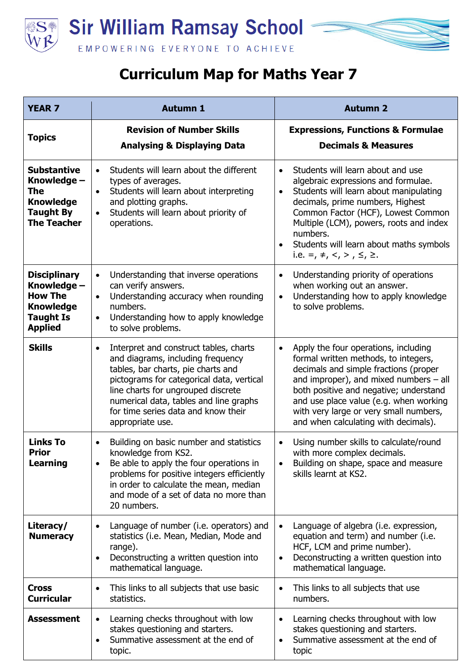



## **Curriculum Map for Maths Year 7**

| <b>YEAR 7</b>                                                                                                  | <b>Autumn 1</b>                                                                                                                                                                                                                                                                                                        | <b>Autumn 2</b>                                                                                                                                                                                                                                                                                                                                                                   |
|----------------------------------------------------------------------------------------------------------------|------------------------------------------------------------------------------------------------------------------------------------------------------------------------------------------------------------------------------------------------------------------------------------------------------------------------|-----------------------------------------------------------------------------------------------------------------------------------------------------------------------------------------------------------------------------------------------------------------------------------------------------------------------------------------------------------------------------------|
| <b>Topics</b>                                                                                                  | <b>Revision of Number Skills</b><br><b>Analysing &amp; Displaying Data</b>                                                                                                                                                                                                                                             | <b>Expressions, Functions &amp; Formulae</b><br><b>Decimals &amp; Measures</b>                                                                                                                                                                                                                                                                                                    |
| <b>Substantive</b><br>Knowledge -<br>The<br><b>Knowledge</b><br><b>Taught By</b><br><b>The Teacher</b>         | Students will learn about the different<br>$\bullet$<br>types of averages.<br>Students will learn about interpreting<br>$\bullet$<br>and plotting graphs.<br>Students will learn about priority of<br>$\bullet$<br>operations.                                                                                         | Students will learn about and use<br>$\bullet$<br>algebraic expressions and formulae.<br>Students will learn about manipulating<br>$\bullet$<br>decimals, prime numbers, Highest<br>Common Factor (HCF), Lowest Common<br>Multiple (LCM), powers, roots and index<br>numbers.<br>Students will learn about maths symbols<br>$\bullet$<br>i.e. =, $\neq$ , <, >, $\leq$ , $\geq$ . |
| <b>Disciplinary</b><br>Knowledge -<br><b>How The</b><br><b>Knowledge</b><br><b>Taught Is</b><br><b>Applied</b> | Understanding that inverse operations<br>$\bullet$<br>can verify answers.<br>Understanding accuracy when rounding<br>$\bullet$<br>numbers.<br>Understanding how to apply knowledge<br>$\bullet$<br>to solve problems.                                                                                                  | Understanding priority of operations<br>$\bullet$<br>when working out an answer.<br>Understanding how to apply knowledge<br>$\bullet$<br>to solve problems.                                                                                                                                                                                                                       |
| <b>Skills</b>                                                                                                  | Interpret and construct tables, charts<br>$\bullet$<br>and diagrams, including frequency<br>tables, bar charts, pie charts and<br>pictograms for categorical data, vertical<br>line charts for ungrouped discrete<br>numerical data, tables and line graphs<br>for time series data and know their<br>appropriate use. | Apply the four operations, including<br>$\bullet$<br>formal written methods, to integers,<br>decimals and simple fractions (proper<br>and improper), and mixed numbers $-$ all<br>both positive and negative; understand<br>and use place value (e.g. when working<br>with very large or very small numbers,<br>and when calculating with decimals).                              |
| <b>Links To</b><br>Prior<br>Learning                                                                           | Building on basic number and statistics<br>knowledge from KS2.<br>Be able to apply the four operations in<br>problems for positive integers efficiently<br>in order to calculate the mean, median<br>and mode of a set of data no more than<br>20 numbers.                                                             | Using number skills to calculate/round<br>$\bullet$<br>with more complex decimals.<br>Building on shape, space and measure<br>skills learnt at KS2.                                                                                                                                                                                                                               |
| Literacy/<br><b>Numeracy</b>                                                                                   | Language of number (i.e. operators) and<br>statistics (i.e. Mean, Median, Mode and<br>range).<br>Deconstructing a written question into<br>$\bullet$<br>mathematical language.                                                                                                                                         | Language of algebra (i.e. expression,<br>$\bullet$<br>equation and term) and number (i.e.<br>HCF, LCM and prime number).<br>Deconstructing a written question into<br>$\bullet$<br>mathematical language.                                                                                                                                                                         |
| <b>Cross</b><br><b>Curricular</b>                                                                              | This links to all subjects that use basic<br>$\bullet$<br>statistics.                                                                                                                                                                                                                                                  | This links to all subjects that use<br>$\bullet$<br>numbers.                                                                                                                                                                                                                                                                                                                      |
| <b>Assessment</b>                                                                                              | Learning checks throughout with low<br>stakes questioning and starters.<br>Summative assessment at the end of<br>$\bullet$<br>topic.                                                                                                                                                                                   | Learning checks throughout with low<br>$\bullet$<br>stakes questioning and starters.<br>Summative assessment at the end of<br>$\bullet$<br>topic                                                                                                                                                                                                                                  |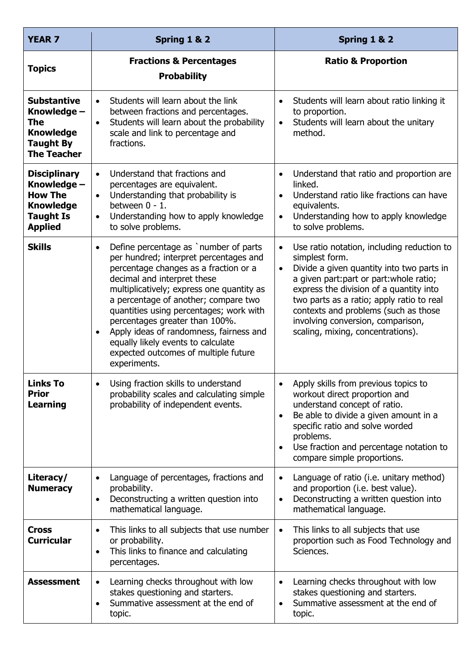| <b>YEAR 7</b>                                                                                                  | Spring 1 & 2                                                                                                                                                                                                                                                                                                                                                                                                                                                                                 | Spring 1 & 2                                                                                                                                                                                                                                                                                                                                                                              |
|----------------------------------------------------------------------------------------------------------------|----------------------------------------------------------------------------------------------------------------------------------------------------------------------------------------------------------------------------------------------------------------------------------------------------------------------------------------------------------------------------------------------------------------------------------------------------------------------------------------------|-------------------------------------------------------------------------------------------------------------------------------------------------------------------------------------------------------------------------------------------------------------------------------------------------------------------------------------------------------------------------------------------|
| <b>Topics</b>                                                                                                  | <b>Fractions &amp; Percentages</b><br><b>Probability</b>                                                                                                                                                                                                                                                                                                                                                                                                                                     | <b>Ratio &amp; Proportion</b>                                                                                                                                                                                                                                                                                                                                                             |
| <b>Substantive</b><br>Knowledge -<br>The<br><b>Knowledge</b><br><b>Taught By</b><br><b>The Teacher</b>         | Students will learn about the link<br>$\bullet$<br>between fractions and percentages.<br>Students will learn about the probability<br>$\bullet$<br>scale and link to percentage and<br>fractions.                                                                                                                                                                                                                                                                                            | Students will learn about ratio linking it<br>$\bullet$<br>to proportion.<br>Students will learn about the unitary<br>$\bullet$<br>method.                                                                                                                                                                                                                                                |
| <b>Disciplinary</b><br>Knowledge –<br><b>How The</b><br><b>Knowledge</b><br><b>Taught Is</b><br><b>Applied</b> | Understand that fractions and<br>$\bullet$<br>percentages are equivalent.<br>Understanding that probability is<br>$\bullet$<br>between 0 - 1.<br>Understanding how to apply knowledge<br>$\bullet$<br>to solve problems.                                                                                                                                                                                                                                                                     | Understand that ratio and proportion are<br>$\bullet$<br>linked.<br>Understand ratio like fractions can have<br>$\bullet$<br>equivalents.<br>Understanding how to apply knowledge<br>$\bullet$<br>to solve problems.                                                                                                                                                                      |
| <b>Skills</b>                                                                                                  | Define percentage as `number of parts<br>$\bullet$<br>per hundred; interpret percentages and<br>percentage changes as a fraction or a<br>decimal and interpret these<br>multiplicatively; express one quantity as<br>a percentage of another; compare two<br>quantities using percentages; work with<br>percentages greater than 100%.<br>Apply ideas of randomness, fairness and<br>$\bullet$<br>equally likely events to calculate<br>expected outcomes of multiple future<br>experiments. | Use ratio notation, including reduction to<br>$\bullet$<br>simplest form.<br>Divide a given quantity into two parts in<br>$\bullet$<br>a given part: part or part: whole ratio;<br>express the division of a quantity into<br>two parts as a ratio; apply ratio to real<br>contexts and problems (such as those<br>involving conversion, comparison,<br>scaling, mixing, concentrations). |
| <b>Links To</b><br><b>Prior</b><br><b>Learning</b>                                                             | Using fraction skills to understand<br>$\bullet$<br>probability scales and calculating simple<br>probability of independent events.                                                                                                                                                                                                                                                                                                                                                          | Apply skills from previous topics to<br>$\bullet$<br>workout direct proportion and<br>understand concept of ratio.<br>Be able to divide a given amount in a<br>$\bullet$<br>specific ratio and solve worded<br>problems.<br>Use fraction and percentage notation to<br>$\bullet$<br>compare simple proportions.                                                                           |
| Literacy/<br><b>Numeracy</b>                                                                                   | Language of percentages, fractions and<br>$\bullet$<br>probability.<br>Deconstructing a written question into<br>$\bullet$<br>mathematical language.                                                                                                                                                                                                                                                                                                                                         | Language of ratio (i.e. unitary method)<br>$\bullet$<br>and proportion (i.e. best value).<br>Deconstructing a written question into<br>$\bullet$<br>mathematical language.                                                                                                                                                                                                                |
| <b>Cross</b><br><b>Curricular</b>                                                                              | This links to all subjects that use number<br>$\bullet$<br>or probability.<br>This links to finance and calculating<br>$\bullet$<br>percentages.                                                                                                                                                                                                                                                                                                                                             | This links to all subjects that use<br>$\bullet$<br>proportion such as Food Technology and<br>Sciences.                                                                                                                                                                                                                                                                                   |
| <b>Assessment</b>                                                                                              | Learning checks throughout with low<br>$\bullet$<br>stakes questioning and starters.<br>Summative assessment at the end of<br>$\bullet$<br>topic.                                                                                                                                                                                                                                                                                                                                            | Learning checks throughout with low<br>$\bullet$<br>stakes questioning and starters.<br>Summative assessment at the end of<br>$\bullet$<br>topic.                                                                                                                                                                                                                                         |